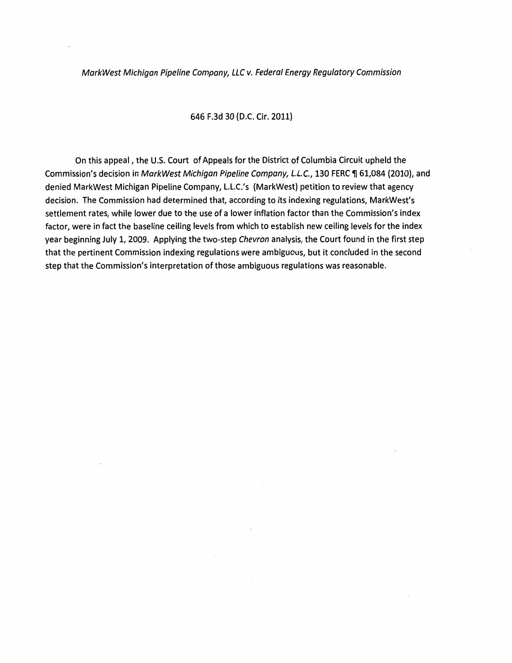# MarkWest Michigan Pipeline Company, LLC v. Federal Energy Regulatory Commission

# 646 F.3d 30 (D.C. Cir. 2011}

On this appeal, the U.S. Court of Appeals for the District of Columbia Circuit upheld the Commission's decision in MarkWest Michigan Pipeline Company, L.L.C., 130 FERC ¶ 61,084 (2010), and denied MarkWest Michigan Pipeline Company, l.l.C.'s (MarkWest) petition to review that agency decision. The Commission had determined that, according to its indexing regulations, MarkWest's settlement rates, while lower due to the use of a lower inflation factor than the Commission's index factor, were in fact the baseline ceiling levels from which to establish new ceiling levels for the index year beginning July 1, 2009. Applying the two-step Chevron analysis, the Court found in the first step that the pertinent Commission indexing regulations were ambiguous, but it concluded in the second step that the Commission's interpretation of those ambiguous regulations was reasonable.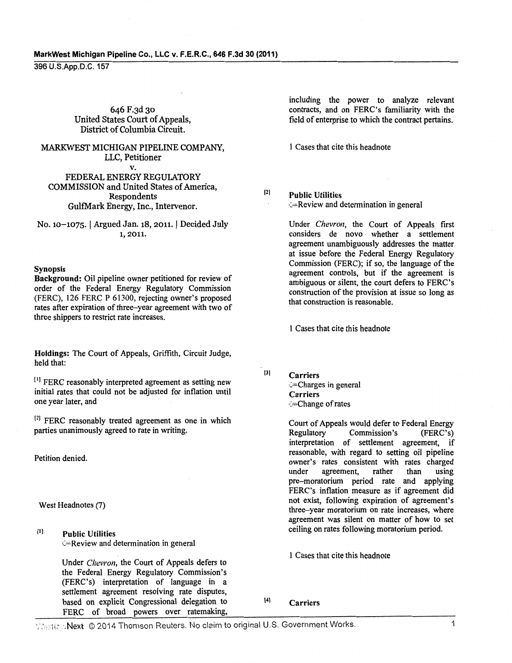#### MarkWest Michigan Pipeline Co., LLC v. F.E.R.C., 646 F.3d 30 (2011)

396 U.S.App.D.C. 157

646 F.3d 30 United States Court of Appeals, District of Columbia Circuit.

MARKWEST MICHIGAN PIPELINE COMPANY, LLC, Petitioner v. FEDERAL ENERGY REGULATORY

COMMISSION and United States of America, Respondents GulfMark Energy, Inc., Intervenor.

No. 10-1075. | Argued Jan. 18, 2011. | Decided July 1, 2011.

#### Synopsis

Background: Oil pipeline owner petitioned for review of order of the Federal Energy Regulatory Commission (FERC), 126 FERC P 61300, rejecting owner's proposed rates after expiration of three-year agreement with two of three shippers to restrict rate increases.

Holdings: The Court of Appeals, Griffith, Circuit Judge, held that:

 $[1]$  FERC reasonably interpreted agreement as setting new initial rates that could not be adjusted for inflation until one year later, and

 $[2]$  FERC reasonably treated agreement as one in which parties unanimously agreed to rate in writing.

Petition denied.

West Headnotes (7)

Ill Public Utilities C=Review and detennination in general

> Under *Chevron,* the Court of Appeals defers to the Federal Energy Regulatory Commission's (FERC's) interpretation of language in a settlement agreement resolving rate disputes, based on explicit Congressional delegation to 141 Carriers FERC of broad powers over ratemaking,

including the power to analyze relevant contracts, and on FERC's familiarity with the field of enterprise to which the contract pertains.

1 Cases that cite this headnote

 $[2]$ 

Public Utilities C=Review and detennination in general

Under *Chevron,* the Court of Appeals first considers de novo whether a settlement agreement unambiguously addresses the matter at issue before the Federal Energy Regulatory Commission (FERC); if so, the language of the agreement controls, but if the agreement is ambiguous or silent, the court defers to FERC's construction of the provision at issue so long as that construction is reasonable.

1 Cases that cite this headnote

 $[3]$ Carriers ,>Charges in general Carriers c=Change of rates

> Court of Appeals would defer to Federal Energy Commission's interpretation of settlement agreement, if reasonable, with regard to setting oil pipeline owner's rates consistent with rates charged under agreement, rather than using pre-moratorium period rate and applying FERC's inflation measure as if agreement did not exist, following expiration of agreement's three-year moratorium on rate increases, where agreement was silent on matter of how to set ceiling on rates following moratorium period.

I Cases that cite this headnote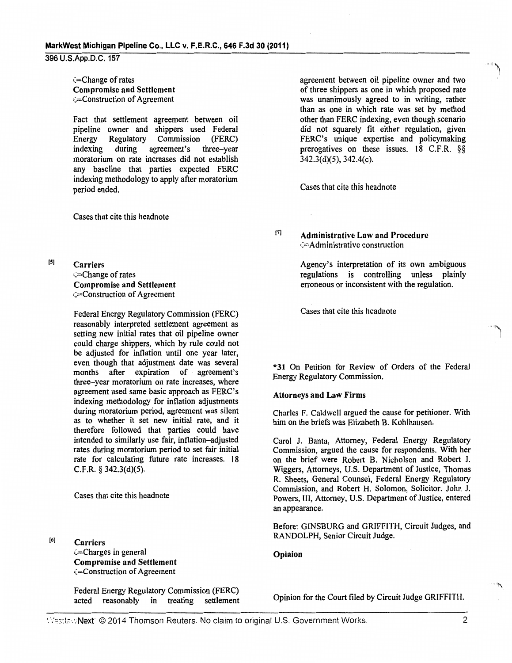(=Change of rates Compromise and Settlement (=Construction of Agreement

Fact that settlement agreement between oil pipeline owner and shippers used Federal<br>Energy Regulatory Commission (FERC) Regulatory Commission (FERC) indexing during agreement's three-year moratorium on rate increases did not establish any baseline that parties expected FERC indexing methodology to apply after moratorium period ended.

Cases that cite this headnote

(5) Carriers  $\epsilon$ =Change of rates Compromise and Settlement  $\subset$ Construction of Agreement

> Federal Energy Regulatory Commission (FERC) reasonably interpreted settlement agreement as setting new initial rates that oil pipeline owner could charge shippers, which by rule could not be adjusted for inflation until one year later, even though that adjustment date was several months after expiration of agreement's three-year moratorium on rate increases, where agreement used same basic approach as FERC's indexing methodology for inflation adjustments during moratorium period, agreement was silent as to whether it set new initial rate, and it therefore followed that parties could have intended to similarly use fair, inflation-adjusted rates during moratorium period to set fair initial rate for calculating future rate increases. 18 C.F.R. *§* 342.3(d)(5).

Cases that cite this headnote

(6)

**Carriers** (=Charges in general Compromise and Settlement (=Construction of Agreement

Federal Energy Regulatory Commission (FERC) acted reasonably in treating settlement

agreement between oil pipeline owner and two of three shippers as one in which proposed rate was unanimously agreed to in writing, rather than as one in which rate was set by method other than FERC indexing, even though scenario did not squarely fit either regulation, given FERC's unique expertise and policymaking prerogatives on these issues. 18 C.F.R. §§ 342.3(d)(5), 342.4(c).

Cases that cite this headnote

171 Administrative Law and Procedure •>Administrative construction

> Agency's interpretation of its own ambiguous regulations is controlling unless plainly erroneous or inconsistent with the regulation.

Cases that cite this headnote

\*31 On Petition for Review of Orders of the Federal Energy Regulatory Commission.

#### Attorneys and Law Firms

Charles F. Caldwell argued the cause for petitioner. With him on the briefs was Elizabeth B. Kohlhausen.

Carol J. Banta, Attorney, Federal Energy Regulatory Commission, argued the cause for respondents. With her on the brief were Robert B. Nicholson and Robert J. Wiggers, Attorneys, U.S. Department of Justice, Thomas R. Sheets, General Counsel, Federal Energy Regulatory Commission, and Robert H. Solomon, Solicitor. John J. Powers, III, Attorney, U.S. Department of Justice, entered an appearance.

Before: GINSBURG and GRIFFITH, Circuit Judges, and RANDOLPH, Senior Circuit Judge.

### Opinion

Opinion for the Court filed by Circuit Judge GRIFFITH.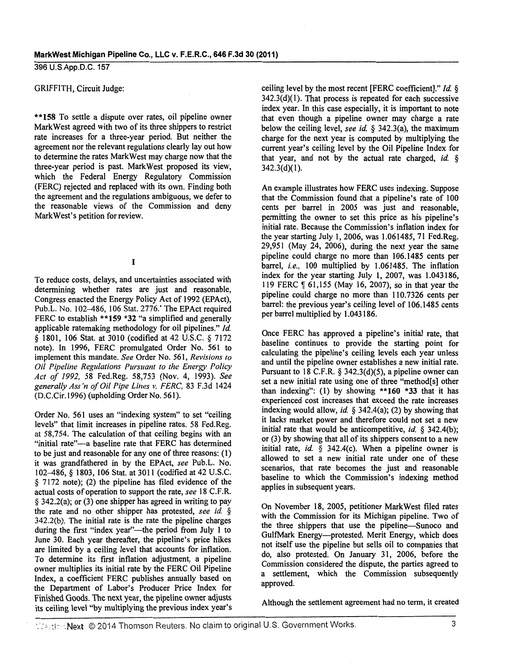#### GRIFFITH, Circuit Judge:

\*\*158 To settle a dispute over rates, oil pipeline owner Mark West agreed with two of its three shippers to restrict rate increases for a three-year period. But neither the agreement nor the relevant regulations clearly lay out how to determine the rates MarkWest may charge now that the three-year period is past. MarkWest proposed its view, which the Federal Energy Regulatory Commission (FERC) rejected and replaced with its own. Finding both the agreement and the regulations ambiguous, we defer to the reasonable views of the Commission and deny Mark West's petition for review.

I

To reduce costs, delays, and uncertainties associated with determining whether rates are just and reasonable, Congress enacted the Energy Policy Act of 1992 (EPAct), Pub.L. No. 102-486, 106 Stat. 2776.' The EPAct required FERC to establish \*\*159 \*32 "a simplified and generally applicable ratemaking methodology for oil pipelines." *!d.*  § 1801, 106 Stat. at 3010 (codified at 42 U.S.C. § 7172 note). In 1996, FERC promulgated Order No. 561 to implement this mandate. *See* Order No. 561, *Revisions to Oil Pipeline Regulations Pursuant to the Energy Policy Act of 1992,* 58 Fed.Reg. 58,753 (Nov. 4, 1993). *See generally Ass 'n of Oil Pipe Lines v. FERC,* 83 F.3d 1424 (D.C.Cir.1996) (upholding Order No. 561 ).

Order No. 561 uses an "indexing system" to set "ceiling levels" that limit increases in pipeline rates. 58 Fed.Reg. at 58,754. The calculation of that ceiling begins with an "initial rate"-a baseline rate that FERC has determined to be just and reasonable for any one of three reasons: ( 1) it was grandfathered in by the EPAct, *see* Pub.L. No. 102-486, § 1803, 106 Stat. at 3011 (codified at 42 U.S.C. § 7172 note); (2) the pipeline has filed evidence of the actual costs of operation to support the rate, *see* 18 C.F.R. § 342.2(a); or (3) one shipper has agreed in writing to pay the rate and no other shipper has protested, *see id.* § 342.2(b). The initial rate is the rate the pipeline charges during the first "index year"-the period from July 1 to June 30. Each year thereafter, the pipeline's price hikes are limited by a ceiling level that accounts for inflation. To determine its first inflation adjustment, a pipeline owner multiplies its initial rate by the FERC Oil Pipeline Index, a coefficient FERC publishes annually based on the Department of Labor's Producer Price Index for Finished Goods. The next year, the pipeline owner adjusts its ceiling level "by multiplying the previous index year's ceiling level by the most recent [FERC coefficient]." *!d.* §  $342.3(d)(1)$ . That process is repeated for each successive index year. In this case especially, it is important to note that even though a pipeline owner may charge a rate below the ceiling level, *see id.* § 342.3(a), the maximum charge for the next year is computed by multiplying the current year's ceiling level by the Oil Pipeline Index for that year, and not by the actual rate charged, *id.* §  $342.3(d)(1)$ .

An example illustrates how FERC uses indexing. Suppose that the Commission found that a pipeline's rate of 100 cents per barrel in 2005 was just and reasonable, permitting the owner to set this price as his pipeline's initial rate. Because the Commission's inflation index for the year starting July 1, 2006, was 1.061485, 71 Fed.Reg. 29,951 (May 24, 2006), during the next year the same pipeline could charge no more than 106.1485 cents per barrel, *i.e.,* 100 multiplied by 1.061485. The inflation index for the year starting July 1, 2007, was 1.043186, 119 FERC ¶ 61,155 (May 16, 2007), so in that year the pipeline could charge no more than 110.7326 cents per barrel: the previous year's ceiling level of 106.1485 cents per barrel multiplied by 1.043186.

Once FERC has approved a pipeline's initial rate, that baseline continues to provide the starting point for calculating the pipeline's ceiling levels each year unless and until the pipeline owner establishes a new initial rate. Pursuant to 18 C.F.R.  $\S$  342.3(d)(5), a pipeline owner can set a new initial rate using one of three "method[s] other than indexing": (1) by showing \*\*160 \*33 that it has experienced cost increases that exceed the rate increases indexing would allow, *id.* § 342.4(a); (2) by showing that it lacks market power and therefore could not set a new initial rate that would be anticompetitive, *id.* § 342.4(b); or (3) by showing that all of its shippers consent to a new initial rate, *id.* § 342.4(c). When a pipeline owner is allowed to set a new initial rate under one of these scenarios, that rate becomes the just and reasonable baseline to which the Commission's indexing method applies in subsequent years.

On November 18, 2005, petitioner MarkWest filed rates with the Commission for its Michigan pipeline. Two of the three shippers that use the pipeline-Sunoco and GulfMark Energy---protested. Merit Energy, which does not itself use the pipeline but sells oil to companies that do, also protested. On January 31, 2006, before the Commission considered the dispute, the parties agreed to a settlement, which the Commission subsequently approved.

Although the settlement agreement had no term, it created

Whetter: Next © 2014 Thomson Reuters. No claim to original U.S. Government Works. 3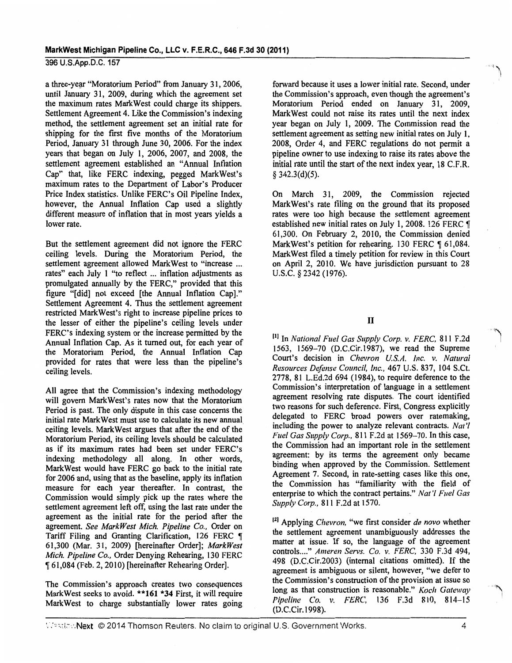a three-year "Moratorium Period" from January 31, 2006, until January 31, 2009, during which the agreement set the maximum rates MarkWest could charge its shippers. Settlement Agreement 4. Like the Commission's indexing method, the settlement agreement set an initial rate for shipping for the first five months of the Moratorium Period, January 31 through June 30, 2006. For the index years that began on July I, 2006, 2007, and 2008, the settlement agreement established an "Annual Inflation Cap" that, like FERC indexing, pegged MarkWest's maximum rates to the Department of Labor's Producer Price Index statistics. Unlike FERC's Oil Pipeline Index, however, the Annual Inflation Cap used a slightly different measure of inflation that in most years yields a lower rate.

But the settlement agreement did not ignore the FERC ceiling levels. During the Moratorium Period, the settlement agreement allowed MarkWest to "increase ... rates" each July I "to reflect ... inflation adjustments as promulgated annually by the FERC," provided that this figure "[did] not exceed [the Annual Inflation Cap]." Settlement Agreement 4. Thus the settlement agreement restricted MarkWest's right to increase pipeline prices to the lesser of either the pipeline's ceiling levels under FERC's indexing system or the increase permitted by the Annual Inflation Cap. As it turned out, for each year of the Moratorium Period, the Annual Inflation Cap provided for rates that were less than the pipeline's ceiling levels.

All agree that the Commission's indexing methodology will govern MarkWest's rates now that the Moratorium Period is past. The only dispute in this case concerns the initial rate Mark West must use to calculate its new annual ceiling levels. Mark West argues that after the end of the Moratorium Period, its ceiling levels should be calculated as if its maximum rates had been set under FERC's indexing methodology all along. In other words, MarkWest would have FERC go back to the initial rate for 2006 and, using that as the baseline, apply its inflation measure for each year thereafter. In contrast, the Commission would simply pick up the rates where the settlement agreement left off, using the last rate under the agreement as the initial rate for the period after the agreement. *See MarkWest Mich. Pipeline Co.,* Order on Tariff Filing and Granting Clarification, 126 FERC  $\P$ 61,300 (Mar. 31, 2009) [hereinafter Order]; *MarkWest Mich. Pipeline Co.,* Order Denying Rehearing, 130 FERC <sup>~</sup>61,084 (Feb. 2, 2010) [hereinafter Rehearing Order].

The Commission's approach creates two consequences MarkWest seeks to avoid. \*\*161 \*34 First, it will require MarkWest to charge substantially lower rates going

forward because it uses a lower initial rate. Second, under the Commission's approach, even though the agreement's Moratorium Period ended on January 31, 2009, MarkWest could not raise its rates until the next index year began on July 1, 2009. The Commission read the settlement agreement as setting new initial rates on July 1, 2008, Order 4, and FERC regulations do not permit a pipeline owner to use indexing to raise its rates above the initial rate until the start of the next index year, 18 C.F.R.  $§$  342.3(d)(5).

 $\sim$ 

On March 31, 2009, the Commission rejected MarkWest's rate filing on the ground that its proposed rates were too high because the settlement agreement established new initial rates on July 1, 2008. 126 FERC  $\P$ 61,300. On February 2, 2010, the Commission denied MarkWest's petition for rehearing. 130 FERC ¶ 61,084. MarkWest filed a timely petition for review in this Court on April 2, 2010. We have jurisdiction pursuant to 28 u.s.c. § 2342 (1976).

# II

III In *National Fuel Gas Supply Corp. v. FERC,* 811 F.2d 1563, 1569-70 (D.C.Cir.1987), we read the Supreme Court's decision in *Chevron U.S.A. Inc. v. Natural Resources Defense Council, Inc.,* 467 U.S. 837, 104 S.Ct. 2778, 81 L.Ed.2d 694 ( 1984), to require deference to the Commission's interpretation of language in a settlement agreement resolving rate disputes. The court identified two reasons for such deference. First, Congress explicitly delegated to FERC broad powers over ratemaking, including the power to analyze relevant contracts. *Nat'/ Fuel Gas Supply Corp.,* 811 F.2d at 1569-70. In this case, the Commission had an important role in the settlement agreement: by its terms the agreement only became binding when approved by the Commission. Settlement Agreement 7. Second, in rate-setting cases like this one, the Commission has "familiarity with the field of enterprise to which the contract pertains." *Nat 'I Fuel Gas Supply Corp.,* 811 F.2d at 1570.

<sup>[2]</sup> Applying *Chevron*, "we first consider *de novo* whether the settlement agreement unambiguously addresses the matter at issue. If so, the language of the agreement controls .... " *Ameren Servs. Co. v. FERC,* 330 F.3d 494, 498 (D.C.Cir.2003) (internal citations omitted). If the agreement is ambiguous or silent, however, "we defer to the Commission's construction of the provision at issue so long as that construction is reasonable." *Koch Gateway Pipeline Co. v. FERC,* 136 F.3d 810, 814-15 (D.C.Cir.1998).

'.".':o:.~r.:-:·:.Neltt © 2014 Thomson Reuters. No claim to original U.S. Government Works. 4

"'~ I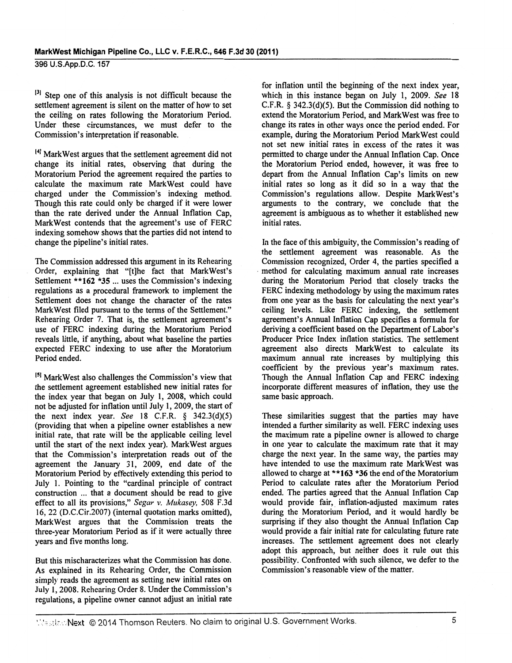<sup>[3]</sup> Step one of this analysis is not difficult because the settlement agreement is silent on the matter of how to set the ceiling on rates following the Moratorium Period. Under these circumstances, we must defer to the Commission's interpretation if reasonable.

141 MarkWest argues that the settlement agreement did not change its initial rates, observing that during the Moratorium Period the agreement required the parties to calculate the maximum rate MarkWest could have charged under the Commission's indexing method. Though this rate could only be charged if it were lower than the rate derived under the Annual Inflation Cap, MarkWest contends that the agreement's use of FERC indexing somehow shows that the parties did not intend to change the pipeline's initial rates.

The Commission addressed this argument in its Rehearing Order, explaining that "(t]he fact that MarkWest's Settlement **\*\*162** \*35 ... uses the Commission's indexing regulations as a procedural framework to implement the Settlement does not change the character of the rates Mark West filed pursuant to the terms of the Settlement." Rehearing Order 7. That is, the settlement agreement's use of FERC indexing during the Moratorium Period reveals little, if anything, about what baseline the parties expected FERC indexing to use after the Moratorium Period ended.

<sup>[5]</sup> MarkWest also challenges the Commission's view that the settlement agreement established new initial rates for the index year that began on July 1, 2008, which could not be adjusted for inflation until July 1, 2009, the start of the next index year. *See* 18 C.F.R. § 342.3(d)(5) (providing that when a pipeline owner establishes a new initial rate, that rate will be the applicable ceiling level until the start of the next index year). MarkWest argues that the Commission's interpretation reads out of the agreement the January 31, 2009, end date of the Moratorium Period by effectively extending this period to July 1. Pointing to the "cardinal principle of contract construction ... that a document should be read to give effect to all its provisions," *Segar* v. *Mukasey,* 508 F.3d 16, 22 (D.C.Cir.2007) (internal quotation marks omitted), MarkWest argues that the Commission treats the three-year Moratorium Period as if it were actually three years and five months long.

But this mischaracterizes what the Commission has done. As explained in its Rehearing Order, the Commission simply reads the agreement as setting new initial rates on July 1, 2008. Rehearing Order 8. Under the Commission's regulations, a pipeline owner cannot adjust an initial rate

for inflation until the beginning of the next index year, which in this instance began on July 1, 2009. *See* 18 C.F.R. § 342.3(d)(5). But the Commission did nothing to extend the Moratorium Period, and MarkWest was free to change its rates in other ways once the period ended. For example, during the Moratorium Period MarkWest could not set new initial rates in excess of the rates it was permitted to charge under the Annual Inflation Cap. Once the Moratorium Period ended, however, it was free to depart from the Annual Inflation Cap's limits on new initial rates so long as it did so in a way that the Commission's regulations allow. Despite MarkWest's arguments to the contrary, we conclude that the agreement is ambiguous as to whether it established new initial rates.

In the face of this ambiguity, the Commission's reading of the settlement agreement was reasonable. As the Commission recognized, Order 4, the parties specified a method for calculating maximum annual rate increases during the Moratorium Period that closely tracks the FERC indexing methodology by using the maximum rates from one year as the basis for calculating the next year's ceiling levels. Like FERC indexing, the settlement agreement's Annual Inflation Cap specifies a formula for deriving a coefficient based on the Department of Labor's Producer Price Index inflation statistics. The settlement agreement also directs MarkWest to calculate its maximum annual rate increases by multiplying this coefficient by the previous year's maximum rates. Though the Annual Inflation Cap and FERC indexing incorporate different measures of inflation, they use the same basic approach.

These similarities suggest that the parties may have intended a further similarity as well. FERC indexing uses the maximum rate a pipeline owner is allowed to charge in one year to calculate the maximum rate that it may charge the next year. In the same way, the parties may have intended to use the maximum rate MarkWest was allowed to charge at **\*\*163** \*36 the end of the Moratorium Period to calculate rates after the Moratorium Period ended. The parties agreed that the Annual Inflation Cap would provide fair, inflation-adjusted maximum rates during the Moratorium Period, and it would hardly be surprising if they also thought the Annual Inflation Cap would provide a fair initial rate for calculating future rate increases. The settlement agreement does not clearly adopt this approach, but neither does it rule out this possibility. Confronted with such silence, we defer to the Commission's reasonable view of the matter.

Westler: Next © 2014 Thomson Reuters. No claim to original U.S. Government Works. 5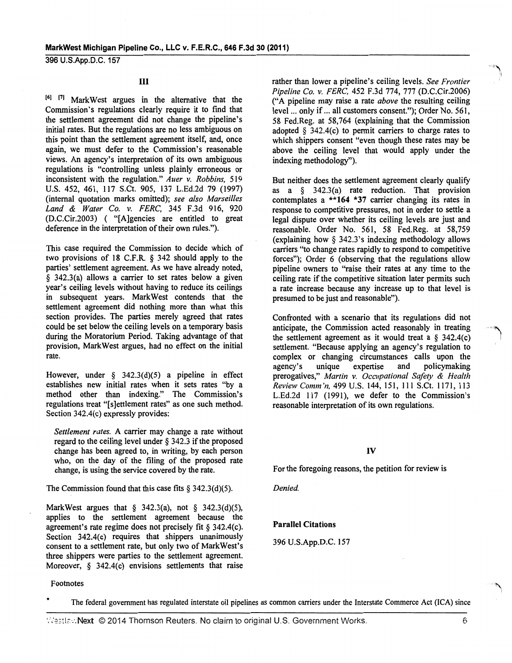# III

161 1'1 MarkWest argues in the alternative that the Commission's regulations clearly require it to fmd that the settlement agreement did not change the pipeline's initial rates. But the regulations are no less ambiguous on this point than the settlement agreement itself, and, once again, we must defer to the Commission's reasonable views. An agency's interpretation of its own ambiguous regulations is "controlling unless plainly erroneous or inconsistent with the regulation." *Auer v. Robbins,* 519 U.S. 452, 461, 117 S.Ct. 905, 137 L.Ed.2d 79 (1997) (internal quotation marks omitted); *see also Marseilles Land* & *Water Co. v. FERC,* 345 F.3d 916, 920 (D.C.Cir.2003) ( "[A]gencies are entitled to great deference in the interpretation of their own rules.").

This case required the Commission to decide which of two provisions of 18 C.F.R. § 342 should apply to the parties' settlement agreement. As we have already noted, § 342.3(a) allows a carrier to set rates below a given year's ceiling levels without having to reduce its ceilings in subsequent years. MarkWest contends that the settlement agreement did nothing more than what this section provides. The parties merely agreed that rates could be set below the ceiling levels on a temporary basis during the Moratorium Period. Taking advantage of that provision, MarkWest argues, had no effect on the initial rate.

However, under  $\S$  342.3(d)(5) a pipeline in effect establishes new initial rates when it sets rates "by a method other than indexing." The Commission's regulations treat "[s]ettlement rates" as one such method. Section 342.4(c) expressly provides:

*Settlement rates.* A carrier may change a rate without regard to the ceiling level under § 342.3 if the proposed change has been agreed to, in writing, by each person who, on the day of the filing of the proposed rate change, is using the service covered by the rate.

The Commission found that this case fits  $\S$  342.3(d)(5).

MarkWest argues that  $\S$  342.3(a), not  $\S$  342.3(d)(5), applies to the settlement agreement because the agreement's rate regime does not precisely fit § 342.4(c). Section 342.4(c) requires that shippers unanimously consent to a settlement rate, but only two of MarkWest's three shippers were parties to the settlement agreement. Moreover, § 342.4(c) envisions settlements that raise

Footnotes

rather than lower a pipeline's ceiling levels. *See Frontier Pipeline Co. v. FERC,* 452 F.3d 774, 777 (D.C.Cir.2006) ("A pipeline may raise a rate *above* the resulting ceiling level ... only if ... all customers consent."); Order No. 561, 58 Fed.Reg. at 58,764 (explaining that the Commission adopted  $\delta$  342.4(c) to permit carriers to charge rates to which shippers consent "even though these rates may be above the ceiling level that would apply under the indexing methodology").

But neither does the settlement agreement clearly qualify as a § 342.3(a) rate reduction. That provision contemplates a \*\*164 \*37 carrier changing its rates in response to competitive pressures, not in order to settle a legal dispute over whether its ceiling levels are just and reasonable. Order No. 561, 58 Fed.Reg. at 58,759 (explaining how § 342.3's indexing methodology allows carriers "to change rates rapidly to respond to competitive forces"); Order 6 (observing that the regulations allow pipeline owners to "raise their rates at any time to the ceiling rate if the competitive situation later permits such a rate increase because any increase up to that level is presumed to be just and reasonable").

Confronted with a scenario that its regulations did not anticipate, the Commission acted reasonably in treating the settlement agreement as it would treat a  $\S$  342.4(c) settlement. "Because applying an agency's regulation to complex or changing circumstances calls upon the agency's unique expertise and policymaking agency's unique expertise and policymaking prerogatives," *Martin v. Occupational Safety* & *Health ReviewComm'n,* 499 U.S. 144,151, Ill S.Ct. 1171,113 L.Ed.2d 117 (1991), we defer to the Commission's reasonable interpretation of its own regulations.

### IV

For the foregoing reasons, the petition for review is

*Denied.* 

### Parallel Citations

396 U.S.App.D.C. 157

The federal government has regulated interstate oil pipelines as common carriers under the Interstate Commerce Act (ICA) since